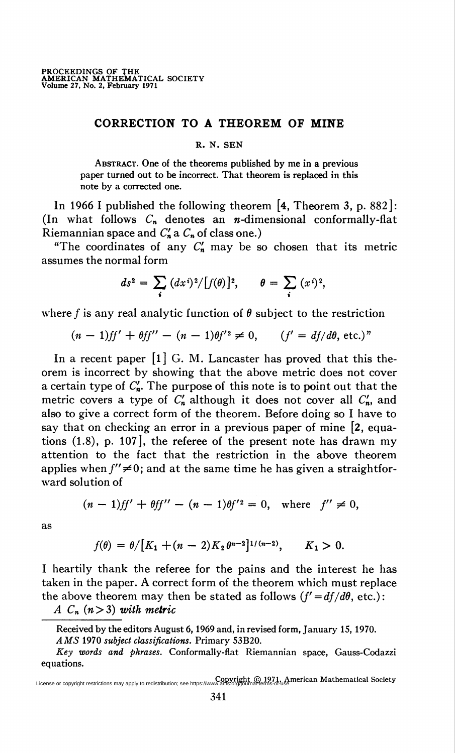## CORRECTION TO A THEOREM OF MINE

R. N. SEN

Abstract. One of the theorems published by me in a previous paper turned out to be incorrect. That theorem is replaced in this note by a corrected one.

In 1966 I published the following theorem [4, Theorem 3, p. 882]: (In what follows  $C_n$  denotes an *n*-dimensional conformally-flat Riemannian space and  $C'_n$  a  $C_n$  of class one.)

"The coordinates of any  $C'_n$  may be so chosen that its metric assumes the normal form

$$
ds^2 = \sum_i (dx^i)^2/[f(\theta)]^2, \qquad \theta = \sum_i (x^i)^2,
$$

where f is any real analytic function of  $\theta$  subject to the restriction

$$
(n-1)ff' + \theta ff'' - (n-1)\theta f'^2 \neq 0, \qquad (f' = df/d\theta, \text{ etc.})^n
$$

In a recent paper  $\begin{bmatrix} 1 \end{bmatrix}$  G. M. Lancaster has proved that this theorem is incorrect by showing that the above metric does not cover a certain type of  $C'_n$ . The purpose of this note is to point out that the metric covers a type of  $C'_n$  although it does not cover all  $C'_n$ , and also to give a correct form of the theorem. Before doing so I have to say that on checking an error in a previous paper of mine [2, equations (1.8), p. 107], the referee of the present note has drawn my attention to the fact that the restriction in the above theorem applies when  $f'' \neq 0$ ; and at the same time he has given a straightforward solution of

$$
(n-1)ff' + \theta ff'' - (n-1)\theta f'^2 = 0, \text{ where } f'' \neq 0,
$$

as

$$
f(\theta) = \theta / [K_1 + (n-2)K_2 \theta^{n-2}]^{1/(n-2)}, \qquad K_1 > 0.
$$

I heartily thank the referee for the pains and the interest he has taken in the paper. A correct form of the theorem which must replace the above theorem may then be stated as follows  $(f' = df/d\theta,$  etc.):

A  $C_n$   $(n>3)$  with metric

License or copyright restrictions may apply to redistribution; see https://www.ams.org/journal-terms-of-use<br>License or copyright restrictions may apply to redistribution; see https://www.ams.org/journal-terms-of-use

Received by the editors August 6, 1969 and, in revised form, January 15, 1970. AMS 1970 subject classifications. Primary 53B20.

Key words and phrases. Conformally-flat Riemannian space, Gauss-Codazzi equations.